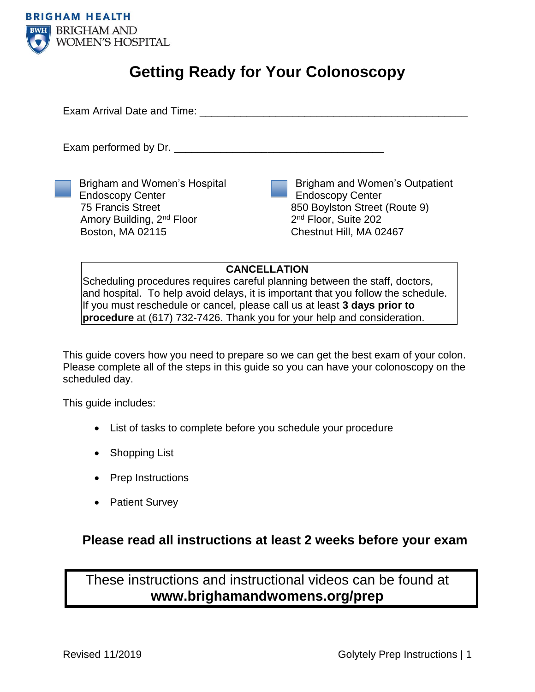

# **Getting Ready for Your Colonoscopy**

Exam Arrival Date and Time: **Example 19** Figures 1

Exam performed by Dr.

Brigham and Women's Hospital Endoscopy Center 75 Francis Street Amory Building, 2nd Floor Boston, MA 02115

Brigham and Women's Outpatient Endoscopy Center 850 Boylston Street (Route 9) 2<sup>nd</sup> Floor, Suite 202 Chestnut Hill, MA 02467

## **CANCELLATION**

Scheduling procedures requires careful planning between the staff, doctors, and hospital. To help avoid delays, it is important that you follow the schedule. If you must reschedule or cancel, please call us at least **3 days prior to procedure** at (617) 732-7426. Thank you for your help and consideration.

This guide covers how you need to prepare so we can get the best exam of your colon. Please complete all of the steps in this guide so you can have your colonoscopy on the scheduled day.

This guide includes:

- List of tasks to complete before you schedule your procedure
- Shopping List
- Prep Instructions
- Patient Survey

# **Please read all instructions at least 2 weeks before your exam**

These instructions and instructional videos can be found at **www.brighamandwomens.org/prep**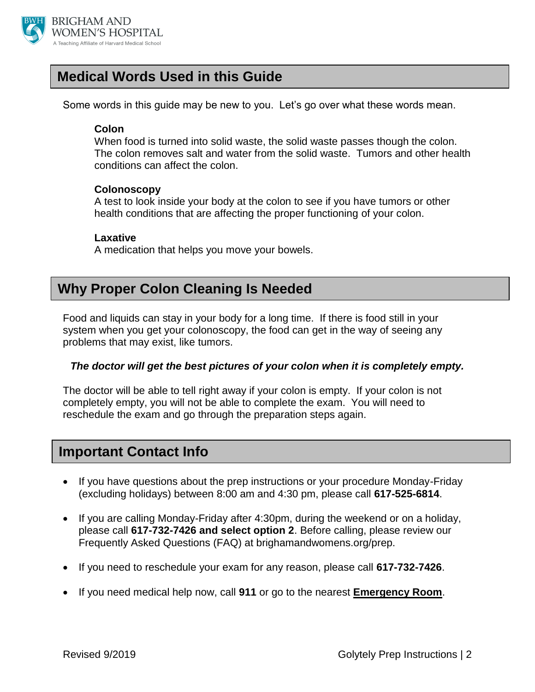

# **Medical Words Used in this Guide**

Some words in this guide may be new to you. Let's go over what these words mean.

## **Colon**

When food is turned into solid waste, the solid waste passes though the colon. The colon removes salt and water from the solid waste. Tumors and other health conditions can affect the colon.

## **Colonoscopy**

A test to look inside your body at the colon to see if you have tumors or other health conditions that are affecting the proper functioning of your colon.

## **Laxative**

A medication that helps you move your bowels.

# **Why Proper Colon Cleaning Is Needed**

Food and liquids can stay in your body for a long time. If there is food still in your system when you get your colonoscopy, the food can get in the way of seeing any problems that may exist, like tumors.

## *The doctor will get the best pictures of your colon when it is completely empty.*

The doctor will be able to tell right away if your colon is empty. If your colon is not completely empty, you will not be able to complete the exam. You will need to reschedule the exam and go through the preparation steps again.

# **Important Contact Info**

- If you have questions about the prep instructions or your procedure Monday-Friday (excluding holidays) between 8:00 am and 4:30 pm, please call **617-525-6814**.
- If you are calling Monday-Friday after 4:30pm, during the weekend or on a holiday, please call **617-732-7426 and select option 2**. Before calling, please review our Frequently Asked Questions (FAQ) at brighamandwomens.org/prep.
- If you need to reschedule your exam for any reason, please call **617-732-7426**.
- If you need medical help now, call **911** or go to the nearest **Emergency Room**.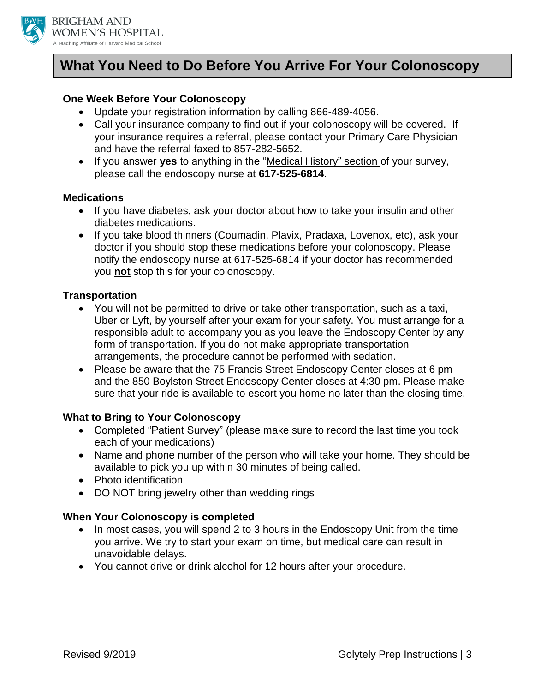

# **What You Need to Do Before You Arrive For Your Colonoscopy**

## **One Week Before Your Colonoscopy**

- Update your registration information by calling 866-489-4056.
- Call your insurance company to find out if your colonoscopy will be covered. If your insurance requires a referral, please contact your Primary Care Physician and have the referral faxed to 857-282-5652.
- If you answer **yes** to anything in the "Medical History" section of your survey, please call the endoscopy nurse at **617-525-6814**.

### **Medications**

- If you have diabetes, ask your doctor about how to take your insulin and other diabetes medications.
- If you take blood thinners (Coumadin, Plavix, Pradaxa, Lovenox, etc), ask your doctor if you should stop these medications before your colonoscopy. Please notify the endoscopy nurse at 617-525-6814 if your doctor has recommended you **not** stop this for your colonoscopy.

### **Transportation**

- You will not be permitted to drive or take other transportation, such as a taxi, Uber or Lyft, by yourself after your exam for your safety. You must arrange for a responsible adult to accompany you as you leave the Endoscopy Center by any form of transportation. If you do not make appropriate transportation arrangements, the procedure cannot be performed with sedation.
- Please be aware that the 75 Francis Street Endoscopy Center closes at 6 pm and the 850 Boylston Street Endoscopy Center closes at 4:30 pm. Please make sure that your ride is available to escort you home no later than the closing time.

### **What to Bring to Your Colonoscopy**

- Completed "Patient Survey" (please make sure to record the last time you took each of your medications)
- Name and phone number of the person who will take your home. They should be available to pick you up within 30 minutes of being called.
- Photo identification
- DO NOT bring jewelry other than wedding rings

### **When Your Colonoscopy is completed**

- In most cases, you will spend 2 to 3 hours in the Endoscopy Unit from the time you arrive. We try to start your exam on time, but medical care can result in unavoidable delays.
- You cannot drive or drink alcohol for 12 hours after your procedure.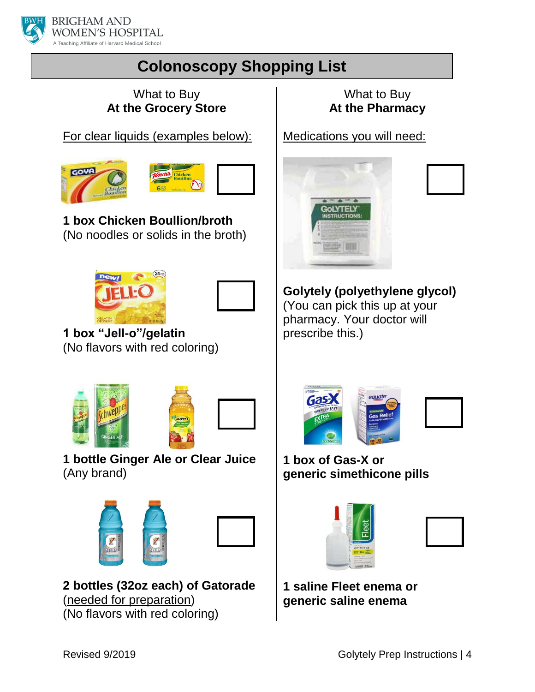

# **Colonoscopy Shopping List**

## What to Buy **At the Grocery Store**

For clear liquids (examples below):





**1 box Chicken Boullion/broth** (No noodles or solids in the broth)





**1 box "Jell-o"/gelatin** (No flavors with red coloring)





**1 bottle Ginger Ale or Clear Juice**  (Any brand)





**2 bottles (32oz each) of Gatorade**  (needed for preparation) (No flavors with red coloring)

What to Buy **At the Pharmacy**

Medications you will need:



**Golytely (polyethylene glycol)** (You can pick this up at your pharmacy. Your doctor will prescribe this.)



**1 box of Gas-X or generic simethicone pills**





**1 saline Fleet enema or generic saline enema**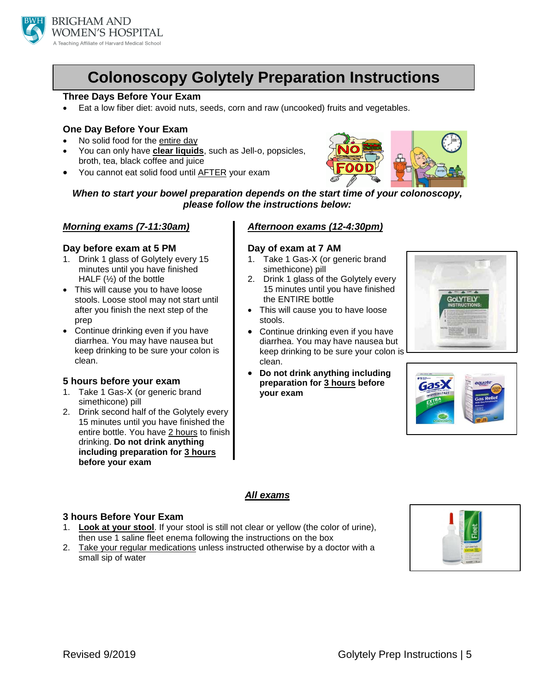

# **Colonoscopy Golytely Preparation Instructions**

### **Three Days Before Your Exam**

Eat a low fiber diet: avoid nuts, seeds, corn and raw (uncooked) fruits and vegetables.

### **One Day Before Your Exam**

- No solid food for the entire day
- You can only have **clear liquids**, such as Jell-o, popsicles, broth, tea, black coffee and juice
- You cannot eat solid food until AFTER your exam



*When to start your bowel preparation depends on the start time of your colonoscopy, please follow the instructions below:*

### *Morning exams (7-11:30am)*

#### **Day before exam at 5 PM**

- 1. Drink 1 glass of Golytely every 15 minutes until you have finished HALF  $(½)$  of the bottle
- This will cause you to have loose stools. Loose stool may not start until after you finish the next step of the prep
- Continue drinking even if you have diarrhea. You may have nausea but keep drinking to be sure your colon is clean.

### **5 hours before your exam**

- 1. Take 1 Gas-X (or generic brand simethicone) pill
- 2. Drink second half of the Golytely every 15 minutes until you have finished the entire bottle. You have 2 hours to finish drinking. **Do not drink anything including preparation for 3 hours before your exam**

### *Afternoon exams (12-4:30pm)*

### **Day of exam at 7 AM**

- 1. Take 1 Gas-X (or generic brand simethicone) pill
- 2. Drink 1 glass of the Golytely every 15 minutes until you have finished the ENTIRE bottle
- This will cause you to have loose stools.
- Continue drinking even if you have diarrhea. You may have nausea but keep drinking to be sure your colon is clean.
- **Do not drink anything including preparation for 3 hours before your exam**





### *All exams*

### **3 hours Before Your Exam**

- 1. **Look at your stool**. If your stool is still not clear or yellow (the color of urine), then use 1 saline fleet enema following the instructions on the box
- 2. Take your regular medications unless instructed otherwise by a doctor with a small sip of water

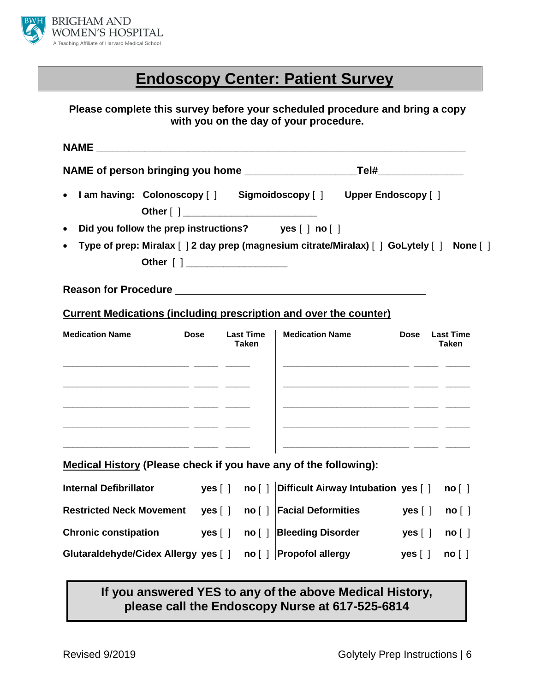

# **Endoscopy Center: Patient Survey**

## **Please complete this survey before your scheduled procedure and bring a copy with you on the day of your procedure.**

| $\bullet$                                                                                                                                                 |                                  | I am having: Colonoscopy [ ] Sigmoidoscopy [ ] Upper Endoscopy [ ]                                                                              |                     |                                  |
|-----------------------------------------------------------------------------------------------------------------------------------------------------------|----------------------------------|-------------------------------------------------------------------------------------------------------------------------------------------------|---------------------|----------------------------------|
| Did you follow the prep instructions? yes [ ] no [ ]<br>$\bullet$                                                                                         |                                  |                                                                                                                                                 |                     |                                  |
| $\bullet$                                                                                                                                                 |                                  | Type of prep: Miralax [ ] 2 day prep (magnesium citrate/Miralax) [ ] GoLytely [ ] None [ ]                                                      |                     |                                  |
|                                                                                                                                                           |                                  |                                                                                                                                                 |                     |                                  |
| <b>Current Medications (including prescription and over the counter)</b>                                                                                  |                                  |                                                                                                                                                 |                     |                                  |
| <b>Dose</b><br><b>Medication Name</b><br>and the company of the company of the company of the company of the company of the company of the company of the | <b>Last Time</b><br><b>Taken</b> | <b>Medication Name</b><br><u> 1988 - Jan Salaman, mars ann an t-Amhain ann an t-Amhain an t-Amhain ann an t-Amhain an t-Amhain ann an t-Amh</u> | <b>Dose</b>         | <b>Last Time</b><br><b>Taken</b> |
| Medical History (Please check if you have any of the following):                                                                                          |                                  |                                                                                                                                                 |                     |                                  |
| <b>Internal Defibrillator</b>                                                                                                                             |                                  |                                                                                                                                                 |                     | no [ ]                           |
| Restricted Neck Movement   yes [ ]    no [ ]   Facial Deformities                                                                                         |                                  |                                                                                                                                                 | yes [ ]             | no [ ]                           |
| Chronic constipation yes [ ] no [ ] Bleeding Disorder                                                                                                     |                                  |                                                                                                                                                 | yes $\lceil \rceil$ | no [ ]                           |
| Glutaraldehyde/Cidex Allergy yes [ ] no [ ] Propofol allergy                                                                                              |                                  |                                                                                                                                                 | yes [ ]             | no [ ]                           |

## **If you answered YES to any of the above Medical History, please call the Endoscopy Nurse at 617-525-6814**